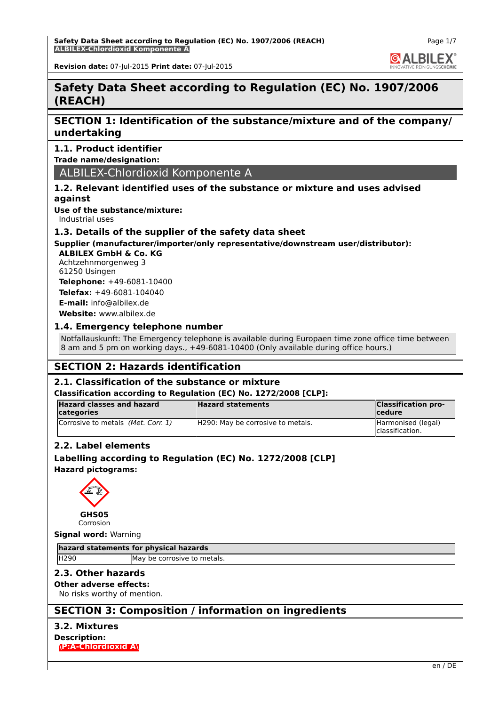**Safety Data Sheet according to Regulation (EC) No. 1907/2006 (REACH) ALBILEX-Chlordioxid Komponente A**

Page 1/7

**GALBILEX** 

**Revision date:** 07-Jul-2015 **Print date:** 07-Jul-2015

# **Safety Data Sheet according to Regulation (EC) No. 1907/2006 (REACH)**

# **SECTION 1: Identification of the substance/mixture and of the company/ undertaking**

# **1.1. Product identifier**

**Trade name/designation:**

# ALBILEX-Chlordioxid Komponente A

# **1.2. Relevant identified uses of the substance or mixture and uses advised against**

**Use of the substance/mixture:**

Industrial uses

## **1.3. Details of the supplier of the safety data sheet**

# **Supplier (manufacturer/importer/only representative/downstream user/distributor):**

**ALBILEX GmbH & Co. KG** Achtzehnmorgenweg 3 61250 Usingen **Telephone:** +49-6081-10400

**Telefax:** +49-6081-104040 **E-mail:** info@albilex.de

**Website:** www.albilex.de

# **1.4. Emergency telephone number**

Notfallauskunft: The Emergency telephone is available during Europaen time zone office time between 8 am and 5 pm on working days., +49-6081-10400 (Only available during office hours.)

# **SECTION 2: Hazards identification**

# **2.1. Classification of the substance or mixture**

## **Classification according to Regulation (EC) No. 1272/2008 [CLP]:**

| <b>Hazard classes and hazard</b><br>categories | <b>Hazard statements</b>          | <b>Classification pro-</b><br><b>cedure</b> |
|------------------------------------------------|-----------------------------------|---------------------------------------------|
| Corrosive to metals (Met. Corr. 1)             | H290: May be corrosive to metals. | Harmonised (legal)<br>classification.       |

# **2.2. Label elements**

**Labelling according to Regulation (EC) No. 1272/2008 [CLP] Hazard pictograms:**



Corrosion

**Signal word:** Warning

**hazard statements for physical hazards**

H290 May be corrosive to metals.

# **2.3. Other hazards**

**Other adverse effects:**

No risks worthy of mention.

# **SECTION 3: Composition / information on ingredients**

# **3.2. Mixtures**

**Description: \P:A-Chlordioxid A\**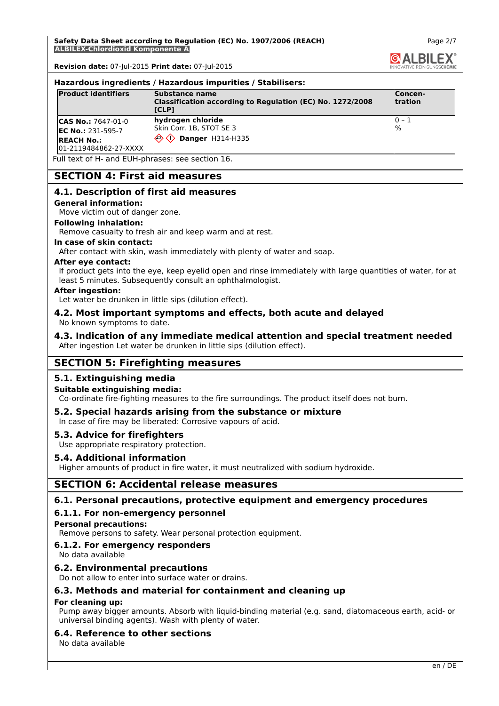**Safety Data Sheet according to Regulation (EC) No. 1907/2006 (REACH) ALBILEX-Chlordioxid Komponente A**

**Revision date:** 07-Jul-2015 **Print date:** 07-Jul-2015

#### **Hazardous ingredients / Hazardous impurities / Stabilisers:**

| <b>Product identifiers</b>                                                                       | Substance name<br>Classification according to Regulation (EC) No. 1272/2008<br>liclp1 | Concen-<br><b>tration</b>   |
|--------------------------------------------------------------------------------------------------|---------------------------------------------------------------------------------------|-----------------------------|
| $ CAS No.: 7647-01-0$<br><b>IEC No.: 231-595-7</b><br><b>REACH No.:</b><br>01-2119484862-27-XXXX | hydrogen chloride<br>Skin Corr. 1B, STOT SE 3<br><b>Danger H314-H335</b>              | $ 0 - 1 $<br>$\frac{10}{6}$ |

Full text of H- and EUH-phrases: see section 16.

# **SECTION 4: First aid measures**

## **4.1. Description of first aid measures**

**General information:**

Move victim out of danger zone.

#### **Following inhalation:**

Remove casualty to fresh air and keep warm and at rest.

## **In case of skin contact:**

After contact with skin, wash immediately with plenty of water and soap.

#### **After eye contact:**

If product gets into the eye, keep eyelid open and rinse immediately with large quantities of water, for at least 5 minutes. Subsequently consult an ophthalmologist.

#### **After ingestion:**

Let water be drunken in little sips (dilution effect).

#### **4.2. Most important symptoms and effects, both acute and delayed** No known symptoms to date.

## **4.3. Indication of any immediate medical attention and special treatment needed** After ingestion Let water be drunken in little sips (dilution effect).

# **SECTION 5: Firefighting measures**

# **5.1. Extinguishing media**

## **Suitable extinguishing media:**

Co-ordinate fire-fighting measures to the fire surroundings. The product itself does not burn.

# **5.2. Special hazards arising from the substance or mixture**

In case of fire may be liberated: Corrosive vapours of acid.

## **5.3. Advice for firefighters**

Use appropriate respiratory protection.

## **5.4. Additional information**

Higher amounts of product in fire water, it must neutralized with sodium hydroxide.

# **SECTION 6: Accidental release measures**

# **6.1. Personal precautions, protective equipment and emergency procedures**

## **6.1.1. For non-emergency personnel**

## **Personal precautions:**

Remove persons to safety. Wear personal protection equipment.

## **6.1.2. For emergency responders**

No data available

# **6.2. Environmental precautions**

Do not allow to enter into surface water or drains.

# **6.3. Methods and material for containment and cleaning up**

## **For cleaning up:**

Pump away bigger amounts. Absorb with liquid-binding material (e.g. sand, diatomaceous earth, acid- or universal binding agents). Wash with plenty of water.

## **6.4. Reference to other sections**

No data available

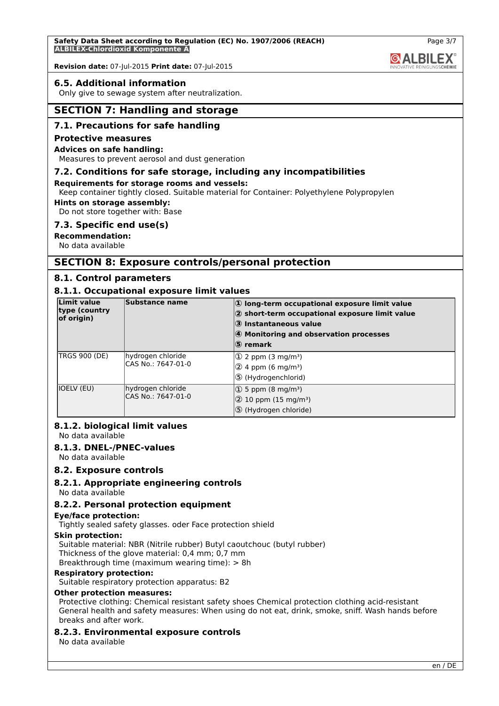## **6.5. Additional information**

Only give to sewage system after neutralization.

# **SECTION 7: Handling and storage**

## **7.1. Precautions for safe handling**

#### **Protective measures**

#### **Advices on safe handling:**

Measures to prevent aerosol and dust generation

## **7.2. Conditions for safe storage, including any incompatibilities**

#### **Requirements for storage rooms and vessels:**

Keep container tightly closed. Suitable material for Container: Polyethylene Polypropylen

## **Hints on storage assembly:**

Do not store together with: Base

#### **7.3. Specific end use(s)**

**Recommendation:**

No data available

# **SECTION 8: Exposure controls/personal protection**

## **8.1. Control parameters**

# **8.1.1. Occupational exposure limit values**

| Limit value<br>type (country)<br>of origin) | Substance name                          | $ 0\rangle$ long-term occupational exposure limit value<br>2 short-term occupational exposure limit value<br>3 Instantaneous value<br>4 Monitoring and observation processes<br>⑤ remark |
|---------------------------------------------|-----------------------------------------|------------------------------------------------------------------------------------------------------------------------------------------------------------------------------------------|
| <b>TRGS 900 (DE)</b>                        | hydrogen chloride<br>CAS No.: 7647-01-0 | $\Phi$ 2 ppm (3 mg/m <sup>3</sup> )<br>$(2)$ 4 ppm (6 mg/m <sup>3</sup> )<br>5 (Hydrogenchlorid)                                                                                         |
| IOELV (EU)                                  | hydrogen chloride<br>CAS No.: 7647-01-0 | $(1)$ 5 ppm (8 mg/m <sup>3</sup> )<br>$(2)$ 10 ppm (15 mg/m <sup>3</sup> )<br>5 (Hydrogen chloride)                                                                                      |

## **8.1.2. biological limit values**

No data available

## **8.1.3. DNEL-/PNEC-values**

No data available

## **8.2. Exposure controls**

## **8.2.1. Appropriate engineering controls**

No data available

## **8.2.2. Personal protection equipment**

#### **Eye/face protection:**

Tightly sealed safety glasses. oder Face protection shield

## **Skin protection:**

Suitable material: NBR (Nitrile rubber) Butyl caoutchouc (butyl rubber) Thickness of the glove material: 0,4 mm; 0,7 mm Breakthrough time (maximum wearing time): > 8h

#### **Respiratory protection:**

Suitable respiratory protection apparatus: B2

#### **Other protection measures:**

Protective clothing: Chemical resistant safety shoes Chemical protection clothing acid-resistant General health and safety measures: When using do not eat, drink, smoke, sniff. Wash hands before breaks and after work.

## **8.2.3. Environmental exposure controls**

No data available

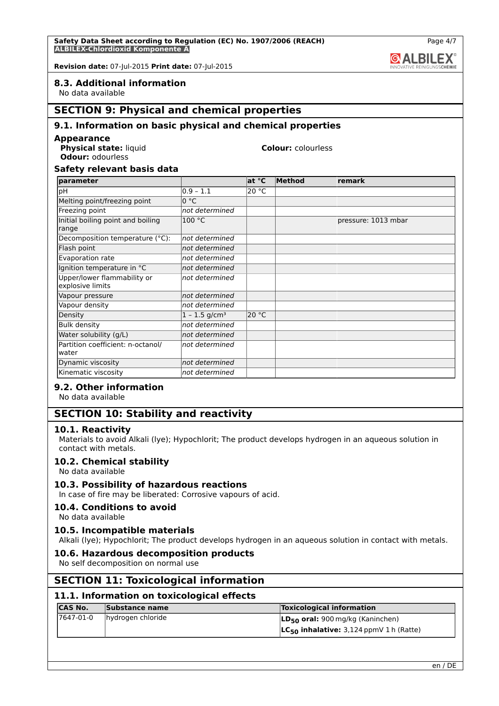# **8.3. Additional information**

No data available

# **SECTION 9: Physical and chemical properties**

## **9.1. Information on basic physical and chemical properties**

#### **Appearance**

**Physical state:** liquid **Colour:** colourless **Odour:** odourless

# **Safety relevant basis data**

| parameter                                       |                             | at °C | Method | remark              |
|-------------------------------------------------|-----------------------------|-------|--------|---------------------|
| рH                                              | $0.9 - 1.1$                 | 20 °C |        |                     |
| Melting point/freezing point                    | 0 °C                        |       |        |                     |
| Freezing point                                  | not determined              |       |        |                     |
| Initial boiling point and boiling<br>range      | 100 °C                      |       |        | pressure: 1013 mbar |
| Decomposition temperature (°C):                 | not determined              |       |        |                     |
| Flash point                                     | not determined              |       |        |                     |
| Evaporation rate                                | not determined              |       |        |                     |
| Ignition temperature in °C                      | not determined              |       |        |                     |
| Upper/lower flammability or<br>explosive limits | not determined              |       |        |                     |
| Vapour pressure                                 | not determined              |       |        |                     |
| Vapour density                                  | not determined              |       |        |                     |
| Density                                         | $1 - 1.5$ g/cm <sup>3</sup> | 20 °C |        |                     |
| <b>Bulk density</b>                             | not determined              |       |        |                     |
| Water solubility (g/L)                          | not determined              |       |        |                     |
| Partition coefficient: n-octanol/<br>water      | not determined              |       |        |                     |
| Dynamic viscosity                               | not determined              |       |        |                     |
| Kinematic viscosity                             | not determined              |       |        |                     |

# **9.2. Other information**

No data available

# **SECTION 10: Stability and reactivity**

## **10.1. Reactivity**

Materials to avoid Alkali (lye); Hypochlorit; The product develops hydrogen in an aqueous solution in contact with metals.

## **10.2. Chemical stability**

No data available

# **10.3. Possibility of hazardous reactions**

In case of fire may be liberated: Corrosive vapours of acid.

## **10.4. Conditions to avoid**

No data available

## **10.5. Incompatible materials**

Alkali (lye); Hypochlorit; The product develops hydrogen in an aqueous solution in contact with metals.

## **10.6. Hazardous decomposition products**

No self decomposition on normal use

# **SECTION 11: Toxicological information**

## **11.1. Information on toxicological effects**

| <b>CAS No.</b> | Substance name    | <b>Toxicological information</b>             |
|----------------|-------------------|----------------------------------------------|
| 17647-01-0     | hydrogen chloride | $ LD_{50}$ oral: 900 mg/kg (Kaninchen)       |
|                |                   | $LC_{50}$ inhalative: 3,124 ppmV 1 h (Ratte) |

Page 4/7

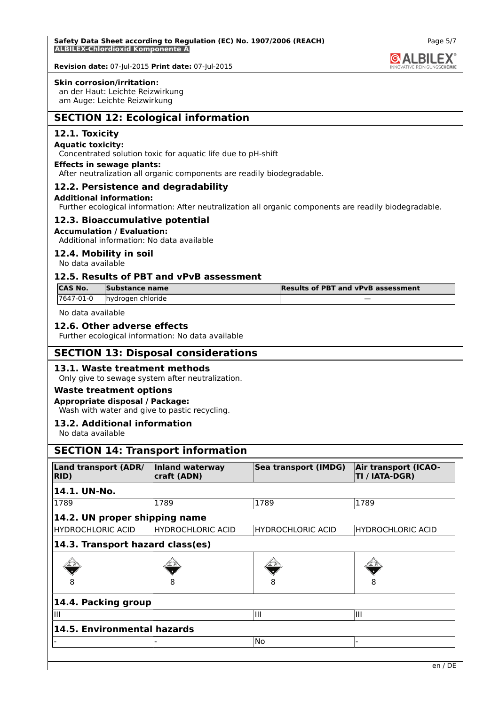#### **Skin corrosion/irritation:**

an der Haut: Leichte Reizwirkung am Auge: Leichte Reizwirkung

# **SECTION 12: Ecological information**

# **12.1. Toxicity**

## **Aquatic toxicity:**

Concentrated solution toxic for aquatic life due to pH-shift

#### **Effects in sewage plants:**

After neutralization all organic components are readily biodegradable.

## **12.2. Persistence and degradability**

#### **Additional information:**

Further ecological information: After neutralization all organic components are readily biodegradable.

## **12.3. Bioaccumulative potential**

#### **Accumulation / Evaluation:**

Additional information: No data available

## **12.4. Mobility in soil**

No data available

# **12.5. Results of PBT and vPvB assessment**

| <b>ICAS No.</b> | Substance name     | <b>Results of PBT and vPvB assessment</b> |
|-----------------|--------------------|-------------------------------------------|
| 17647-01-0      | Thydrogen chloride |                                           |

No data available

## **12.6. Other adverse effects**

Further ecological information: No data available

# **SECTION 13: Disposal considerations**

## **13.1. Waste treatment methods**

Only give to sewage system after neutralization.

# **Waste treatment options**

**Appropriate disposal / Package:** Wash with water and give to pastic recycling.

## **13.2. Additional information**

No data available

# **SECTION 14: Transport information**

| Land transport (ADR/<br><b>RID</b> ) | Inland waterway<br>craft (ADN) | Sea transport (IMDG)     | <b>Air transport (ICAO-</b><br>TI / IATA-DGR) |
|--------------------------------------|--------------------------------|--------------------------|-----------------------------------------------|
| 14.1. UN-No.                         |                                |                          |                                               |
| 1789                                 | 1789                           | 1789                     | 1789                                          |
| 14.2. UN proper shipping name        |                                |                          |                                               |
| HYDROCHLORIC ACID                    | <b>HYDROCHLORIC ACID</b>       | <b>HYDROCHLORIC ACID</b> | <b>HYDROCHLORIC ACID</b>                      |
| 14.3. Transport hazard class(es)     |                                |                          |                                               |
|                                      |                                |                          |                                               |
|                                      | 8                              | 8                        | 8                                             |
| 14.4. Packing group                  |                                |                          |                                               |
| Ш                                    |                                | Ш                        | Ш                                             |
| 14.5. Environmental hazards          |                                |                          |                                               |
|                                      |                                | No                       |                                               |

Page 5/7

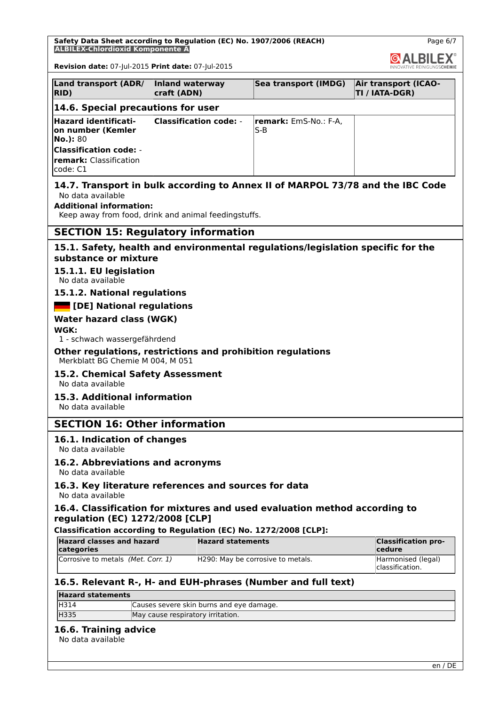**Safety Data Sheet according to Regulation (EC) No. 1907/2006 (REACH) ALBILEX-Chlordioxid Komponente A**



**GALBILEX** 

**Revision date:** 07-Jul-2015 **Print date:** 07-Jul-2015

| Land transport (ADR/<br>RID)                                                | Inland waterway<br>craft (ADN) | Sea transport (IMDG)                 | Air transport (ICAO-<br>TI / IATA-DGR) |
|-----------------------------------------------------------------------------|--------------------------------|--------------------------------------|----------------------------------------|
| 14.6. Special precautions for user                                          |                                |                                      |                                        |
| <b>Hazard identificati-</b><br>on number (Kemler<br>$No.$ : 80              | Classification code: -         | <b>remark:</b> EmS-No.: F-A.<br>IS-B |                                        |
| <b>Classification code:</b> -<br><b>remark:</b> Classification<br>lcode: C1 |                                |                                      |                                        |

# **14.7. Transport in bulk according to Annex II of MARPOL 73/78 and the IBC Code** No data available

## **Additional information:**

Keep away from food, drink and animal feedingstuffs.

# **SECTION 15: Regulatory information**

## **15.1. Safety, health and environmental regulations/legislation specific for the substance or mixture**

# **15.1.1. EU legislation**

No data available

# **15.1.2. National regulations**

## **[DE] National regulations**

## **Water hazard class (WGK)**

**WGK:**

1 - schwach wassergefährdend

#### **Other regulations, restrictions and prohibition regulations** Merkblatt BG Chemie M 004, M 051

# **15.2. Chemical Safety Assessment**

No data available

# **15.3. Additional information**

No data available

# **SECTION 16: Other information**

# **16.1. Indication of changes**

No data available

# **16.2. Abbreviations and acronyms**

No data available

#### **16.3. Key literature references and sources for data** No data available

# **16.4. Classification for mixtures and used evaluation method according to regulation (EC) 1272/2008 [CLP]**

# **Classification according to Regulation (EC) No. 1272/2008 [CLP]:**

| Hazard classes and hazard<br>categories | <b>Hazard statements</b>          | <b>Classification pro-</b><br><b>cedure</b> |
|-----------------------------------------|-----------------------------------|---------------------------------------------|
| Corrosive to metals (Met. Corr. 1)      | H290: May be corrosive to metals. | Harmonised (legal)<br>classification.       |

# **16.5. Relevant R-, H- and EUH-phrases (Number and full text)**

| <b>Hazard statements</b> |                                          |  |
|--------------------------|------------------------------------------|--|
| H314                     | Causes severe skin burns and eye damage. |  |
| <b>H335</b>              | May cause respiratory irritation.        |  |

## **16.6. Training advice**

No data available